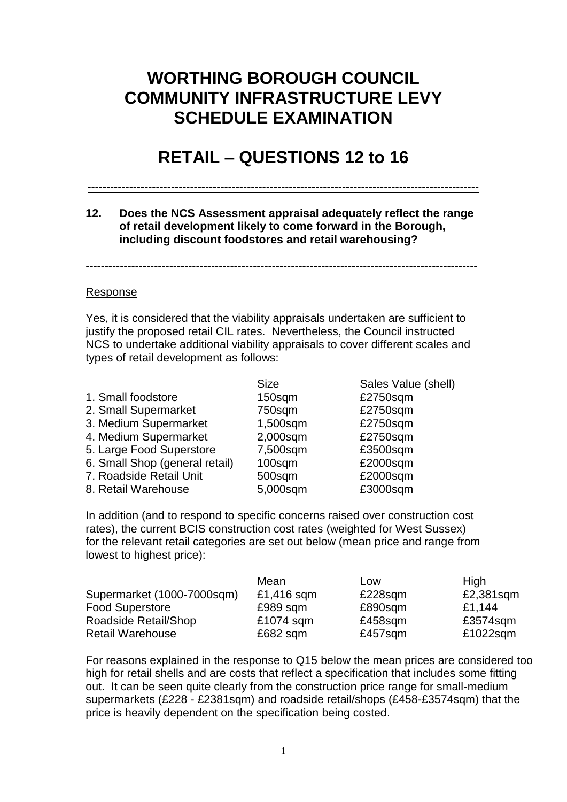# **WORTHING BOROUGH COUNCIL COMMUNITY INFRASTRUCTURE LEVY SCHEDULE EXAMINATION**

# **RETAIL – QUESTIONS 12 to 16**

#### -------------------------------------------------------------------------------------------------------

**12. Does the NCS Assessment appraisal adequately reflect the range of retail development likely to come forward in the Borough, including discount foodstores and retail warehousing?** 

-------------------------------------------------------------------------------------------------------

### Response

Yes, it is considered that the viability appraisals undertaken are sufficient to justify the proposed retail CIL rates. Nevertheless, the Council instructed NCS to undertake additional viability appraisals to cover different scales and types of retail development as follows:

|                                | <b>Size</b> | Sales Value (shell) |
|--------------------------------|-------------|---------------------|
| 1. Small foodstore             | 150sqm      | £2750sqm            |
| 2. Small Supermarket           | 750sqm      | £2750sqm            |
| 3. Medium Supermarket          | 1,500sqm    | £2750sqm            |
| 4. Medium Supermarket          | 2,000sqm    | £2750sqm            |
| 5. Large Food Superstore       | 7,500sqm    | £3500sqm            |
| 6. Small Shop (general retail) | 100sqm      | £2000sqm            |
| 7. Roadside Retail Unit        | 500sqm      | £2000sqm            |
| 8. Retail Warehouse            | 5,000sqm    | £3000sqm            |

In addition (and to respond to specific concerns raised over construction cost rates), the current BCIS construction cost rates (weighted for West Sussex) for the relevant retail categories are set out below (mean price and range from lowest to highest price):

|                            | Mean       | Low     | High      |
|----------------------------|------------|---------|-----------|
| Supermarket (1000-7000sqm) | £1,416 sqm | £228sqm | £2,381sqm |
| <b>Food Superstore</b>     | £989 sqm   | £890sqm | £1,144    |
| Roadside Retail/Shop       | £1074 sqm  | £458sqm | £3574sqm  |
| <b>Retail Warehouse</b>    | $£682$ sqm | £457sqm | £1022sqm  |

For reasons explained in the response to Q15 below the mean prices are considered too high for retail shells and are costs that reflect a specification that includes some fitting out. It can be seen quite clearly from the construction price range for small-medium supermarkets (£228 - £2381sqm) and roadside retail/shops (£458-£3574sqm) that the price is heavily dependent on the specification being costed.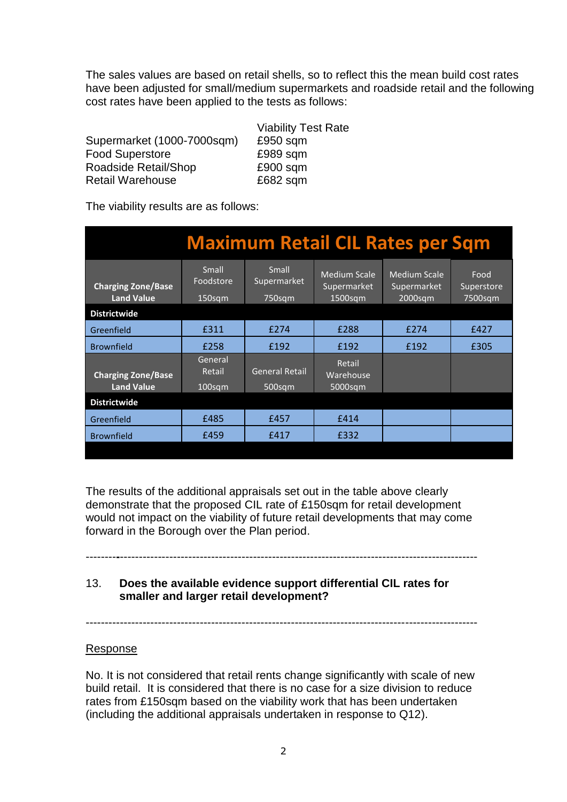The sales values are based on retail shells, so to reflect this the mean build cost rates have been adjusted for small/medium supermarkets and roadside retail and the following cost rates have been applied to the tests as follows:

|                            | <b>Viability Test Rate</b> |
|----------------------------|----------------------------|
| Supermarket (1000-7000sqm) | £950 sqm                   |
| <b>Food Superstore</b>     | £989 sqm                   |
| Roadside Retail/Shop       | £900 sqm                   |
| <b>Retail Warehouse</b>    | £682 sqm                   |

The viability results are as follows:

| <b>Maximum Retail CIL Rates per Sqm</b>        |                                |                                 |                                                  |                                                  |                               |
|------------------------------------------------|--------------------------------|---------------------------------|--------------------------------------------------|--------------------------------------------------|-------------------------------|
| <b>Charging Zone/Base</b><br><b>Land Value</b> | Small<br>Foodstore<br>150sqm   | Small<br>Supermarket<br>750sqm  | <b>Medium Scale</b><br>Supermarket<br>$1500$ sqm | <b>Medium Scale</b><br>Supermarket<br>$2000$ sqm | Food<br>Superstore<br>7500sqm |
| <b>Districtwide</b>                            |                                |                                 |                                                  |                                                  |                               |
| Greenfield                                     | £311                           | £274                            | £288                                             | £274                                             | £427                          |
| <b>Brownfield</b>                              | £258                           | £192                            | £192                                             | £192                                             | £305                          |
| <b>Charging Zone/Base</b><br><b>Land Value</b> | General<br>Retail<br>$100$ sqm | <b>General Retail</b><br>500sqm | Retail<br>Warehouse<br>5000sqm                   |                                                  |                               |
| <b>Districtwide</b>                            |                                |                                 |                                                  |                                                  |                               |
| Greenfield                                     | £485                           | £457                            | £414                                             |                                                  |                               |
| <b>Brownfield</b>                              | £459                           | £417                            | £332                                             |                                                  |                               |
|                                                |                                |                                 |                                                  |                                                  |                               |

The results of the additional appraisals set out in the table above clearly demonstrate that the proposed CIL rate of £150sqm for retail development would not impact on the viability of future retail developments that may come forward in the Borough over the Plan period.

--------**-**----------------------------------------------------------------------------------------------

# 13. **Does the available evidence support differential CIL rates for smaller and larger retail development?**

-------------------------------------------------------------------------------------------------------

## Response

No. It is not considered that retail rents change significantly with scale of new build retail. It is considered that there is no case for a size division to reduce rates from £150sqm based on the viability work that has been undertaken (including the additional appraisals undertaken in response to Q12).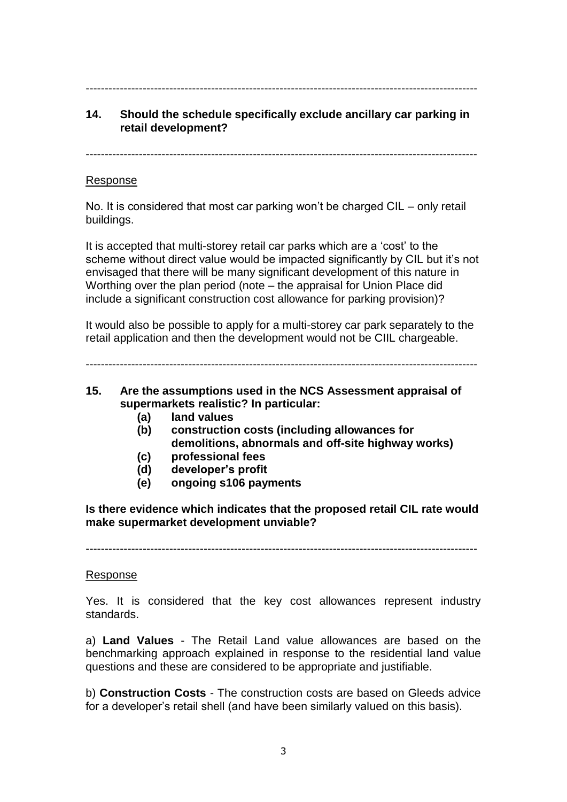### -------------------------------------------------------------------------------------------------------

# **14. Should the schedule specifically exclude ancillary car parking in retail development?**

-------------------------------------------------------------------------------------------------------

### Response

No. It is considered that most car parking won't be charged CIL – only retail buildings.

It is accepted that multi-storey retail car parks which are a 'cost' to the scheme without direct value would be impacted significantly by CIL but it's not envisaged that there will be many significant development of this nature in Worthing over the plan period (note – the appraisal for Union Place did include a significant construction cost allowance for parking provision)?

It would also be possible to apply for a multi-storey car park separately to the retail application and then the development would not be CIIL chargeable.

-------------------------------------------------------------------------------------------------------

- **15. Are the assumptions used in the NCS Assessment appraisal of supermarkets realistic? In particular:**
	- **(a) land values**
	- **(b) construction costs (including allowances for demolitions, abnormals and off-site highway works)**
	- **(c) professional fees**
	- **(d) developer's profit**
	- **(e) ongoing s106 payments**

**Is there evidence which indicates that the proposed retail CIL rate would make supermarket development unviable?**

-------------------------------------------------------------------------------------------------------

## Response

Yes. It is considered that the key cost allowances represent industry standards.

a) **Land Values** - The Retail Land value allowances are based on the benchmarking approach explained in response to the residential land value questions and these are considered to be appropriate and justifiable.

b) **Construction Costs** - The construction costs are based on Gleeds advice for a developer's retail shell (and have been similarly valued on this basis).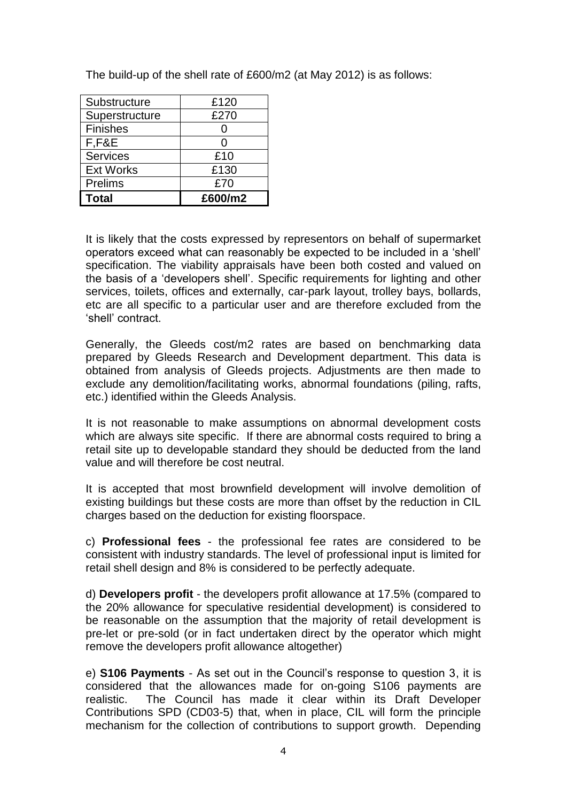| Substructure     | £120    |
|------------------|---------|
| Superstructure   | £270    |
| <b>Finishes</b>  |         |
| F,F&E            | O       |
| <b>Services</b>  | £10     |
| <b>Ext Works</b> | £130    |
| Prelims          | £70     |
| l Total          | £600/m2 |

The build-up of the shell rate of £600/m2 (at May 2012) is as follows:

It is likely that the costs expressed by representors on behalf of supermarket operators exceed what can reasonably be expected to be included in a 'shell' specification. The viability appraisals have been both costed and valued on the basis of a 'developers shell'. Specific requirements for lighting and other services, toilets, offices and externally, car-park layout, trolley bays, bollards, etc are all specific to a particular user and are therefore excluded from the 'shell' contract.

Generally, the Gleeds cost/m2 rates are based on benchmarking data prepared by Gleeds Research and Development department. This data is obtained from analysis of Gleeds projects. Adjustments are then made to exclude any demolition/facilitating works, abnormal foundations (piling, rafts, etc.) identified within the Gleeds Analysis.

It is not reasonable to make assumptions on abnormal development costs which are always site specific. If there are abnormal costs required to bring a retail site up to developable standard they should be deducted from the land value and will therefore be cost neutral.

It is accepted that most brownfield development will involve demolition of existing buildings but these costs are more than offset by the reduction in CIL charges based on the deduction for existing floorspace.

c) **Professional fees** - the professional fee rates are considered to be consistent with industry standards. The level of professional input is limited for retail shell design and 8% is considered to be perfectly adequate.

d) **Developers profit** - the developers profit allowance at 17.5% (compared to the 20% allowance for speculative residential development) is considered to be reasonable on the assumption that the majority of retail development is pre-let or pre-sold (or in fact undertaken direct by the operator which might remove the developers profit allowance altogether)

e) **S106 Payments** - As set out in the Council's response to question 3, it is considered that the allowances made for on-going S106 payments are realistic. The Council has made it clear within its Draft Developer Contributions SPD (CD03-5) that, when in place, CIL will form the principle mechanism for the collection of contributions to support growth. Depending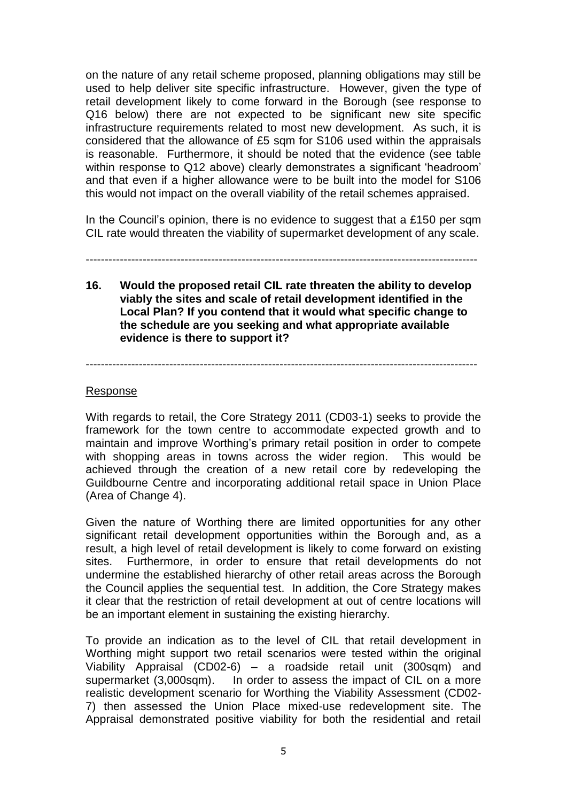on the nature of any retail scheme proposed, planning obligations may still be used to help deliver site specific infrastructure. However, given the type of retail development likely to come forward in the Borough (see response to Q16 below) there are not expected to be significant new site specific infrastructure requirements related to most new development. As such, it is considered that the allowance of £5 sqm for S106 used within the appraisals is reasonable. Furthermore, it should be noted that the evidence (see table within response to Q12 above) clearly demonstrates a significant 'headroom' and that even if a higher allowance were to be built into the model for S106 this would not impact on the overall viability of the retail schemes appraised.

In the Council's opinion, there is no evidence to suggest that a £150 per sqm CIL rate would threaten the viability of supermarket development of any scale.

-------------------------------------------------------------------------------------------------------

**16. Would the proposed retail CIL rate threaten the ability to develop viably the sites and scale of retail development identified in the Local Plan? If you contend that it would what specific change to the schedule are you seeking and what appropriate available evidence is there to support it?**

-------------------------------------------------------------------------------------------------------

#### Response

With regards to retail, the Core Strategy 2011 (CD03-1) seeks to provide the framework for the town centre to accommodate expected growth and to maintain and improve Worthing's primary retail position in order to compete with shopping areas in towns across the wider region. This would be achieved through the creation of a new retail core by redeveloping the Guildbourne Centre and incorporating additional retail space in Union Place (Area of Change 4).

Given the nature of Worthing there are limited opportunities for any other significant retail development opportunities within the Borough and, as a result, a high level of retail development is likely to come forward on existing sites. Furthermore, in order to ensure that retail developments do not undermine the established hierarchy of other retail areas across the Borough the Council applies the sequential test. In addition, the Core Strategy makes it clear that the restriction of retail development at out of centre locations will be an important element in sustaining the existing hierarchy.

To provide an indication as to the level of CIL that retail development in Worthing might support two retail scenarios were tested within the original Viability Appraisal (CD02-6) – a roadside retail unit (300sqm) and supermarket (3,000sqm). In order to assess the impact of CIL on a more realistic development scenario for Worthing the Viability Assessment (CD02- 7) then assessed the Union Place mixed-use redevelopment site. The Appraisal demonstrated positive viability for both the residential and retail